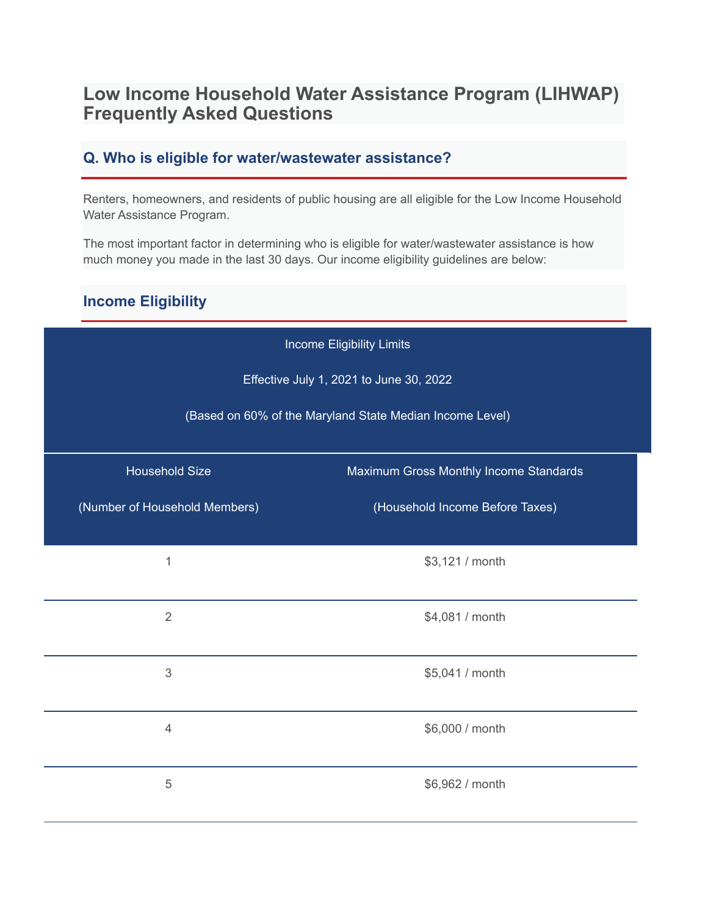# **Low Income Household Water Assistance Program (LIHWAP) Frequently Asked Questions**

# **Q. Who is eligible for water/wastewater assistance?**

Renters, homeowners, and residents of public housing are all eligible for the Low Income Household Water Assistance Program.

The most important factor in determining who is eligible for water/wastewater assistance is how much money you made in the last 30 days. Our income eligibility guidelines are below:

# **Income Eligibility**

| Income Eligibility Limits                                |                                        |  |
|----------------------------------------------------------|----------------------------------------|--|
| Effective July 1, 2021 to June 30, 2022                  |                                        |  |
| (Based on 60% of the Maryland State Median Income Level) |                                        |  |
| <b>Household Size</b>                                    | Maximum Gross Monthly Income Standards |  |
| (Number of Household Members)                            | (Household Income Before Taxes)        |  |
| 1                                                        | \$3,121 / month                        |  |
|                                                          |                                        |  |
| $\overline{2}$                                           | \$4,081 / month                        |  |
| $\mathfrak 3$                                            | \$5,041 / month                        |  |
|                                                          |                                        |  |
| $\overline{4}$                                           | \$6,000 / month                        |  |
| 5                                                        | \$6,962 / month                        |  |
|                                                          |                                        |  |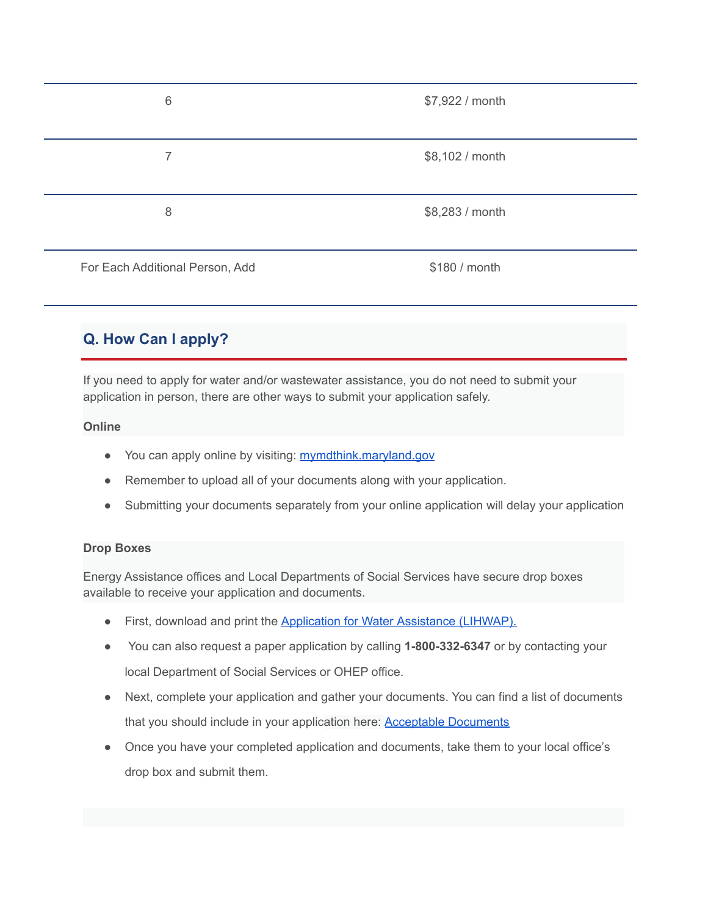| 6                               | \$7,922 / month |
|---------------------------------|-----------------|
|                                 |                 |
|                                 | \$8,102 / month |
|                                 |                 |
| 8                               | \$8,283 / month |
|                                 |                 |
| For Each Additional Person, Add | \$180 / month   |

# **Q. How Can I apply?**

If you need to apply for water and/or wastewater assistance, you do not need to submit your application in person, there are other ways to submit your application safely.

#### **Online**

- You can apply online by visiting: [mymdthink.maryland.gov](http://mymdthink.maryland.gov)
- Remember to upload all of your documents along with your application.
- Submitting your documents separately from your online application will delay your application

#### **Drop Boxes**

Energy Assistance offices and Local Departments of Social Services have secure drop boxes available to receive your application and documents.

- First, download and print the Application for Water [Assistance \(LIHWAP\).](https://drive.google.com/file/d/1j280MiZN8qsP2ThtPtDP3b_EifnCT1-L/view?usp=sharing)
- You can also request a paper application by calling **1-800-332-6347** or by contacting your local Department of Social Services or OHEP office.
- Next, complete your application and gather your documents. You can find a list of documents that you should include in your application here: **[Acceptable Documents](https://dhs.maryland.gov/office-of-home-energy-programs/acceptable-documents-energy-assistance/)**
- Once you have your completed application and documents, take them to your local office's drop box and submit them.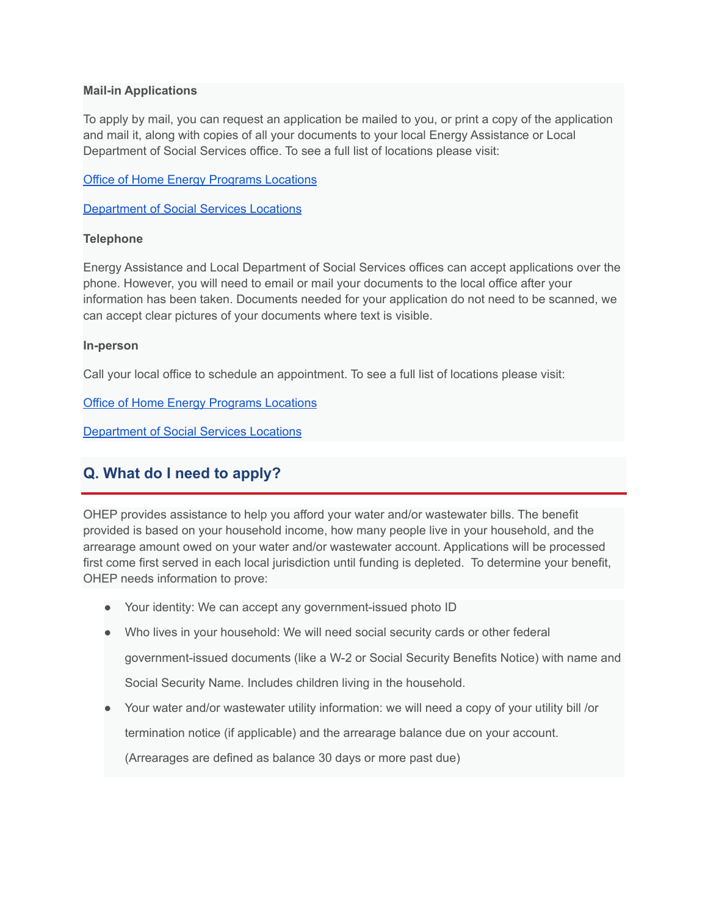#### **Mail-in Applications**

To apply by mail, you can request an application be mailed to you, or print a copy of the application and mail it, along with copies of all your documents to your local Energy Assistance or Local Department of Social Services office. To see a full list of locations please visit:

[Office of Home Energy Programs Locations](https://dhs.maryland.gov/office-of-home-energy-programs/local-home-energy-program-office/)

[Department of Social Services Locations](https://dhs.maryland.gov/local-offices/)

#### **Telephone**

Energy Assistance and Local Department of Social Services offices can accept applications over the phone. However, you will need to email or mail your documents to the local office after your information has been taken. Documents needed for your application do not need to be scanned, we can accept clear pictures of your documents where text is visible.

#### **In-person**

Call your local office to schedule an appointment. To see a full list of locations please visit:

[Office of Home Energy Programs Locations](https://dhs.maryland.gov/office-of-home-energy-programs/local-home-energy-program-office/)

[Department of Social Services Locations](https://dhs.maryland.gov/local-offices/)

# **Q. What do I need to apply?**

OHEP provides assistance to help you afford your water and/or wastewater bills. The benefit provided is based on your household income, how many people live in your household, and the arrearage amount owed on your water and/or wastewater account. Applications will be processed first come first served in each local jurisdiction until funding is depleted. To determine your benefit, OHEP needs information to prove:

- Your identity: We can accept any government-issued photo ID
- Who lives in your household: We will need social security cards or other federal government-issued documents (like a W-2 or Social Security Benefits Notice) with name and Social Security Name. Includes children living in the household.
- Your water and/or wastewater utility information: we will need a copy of your utility bill /or

termination notice (if applicable) and the arrearage balance due on your account.

(Arrearages are defined as balance 30 days or more past due)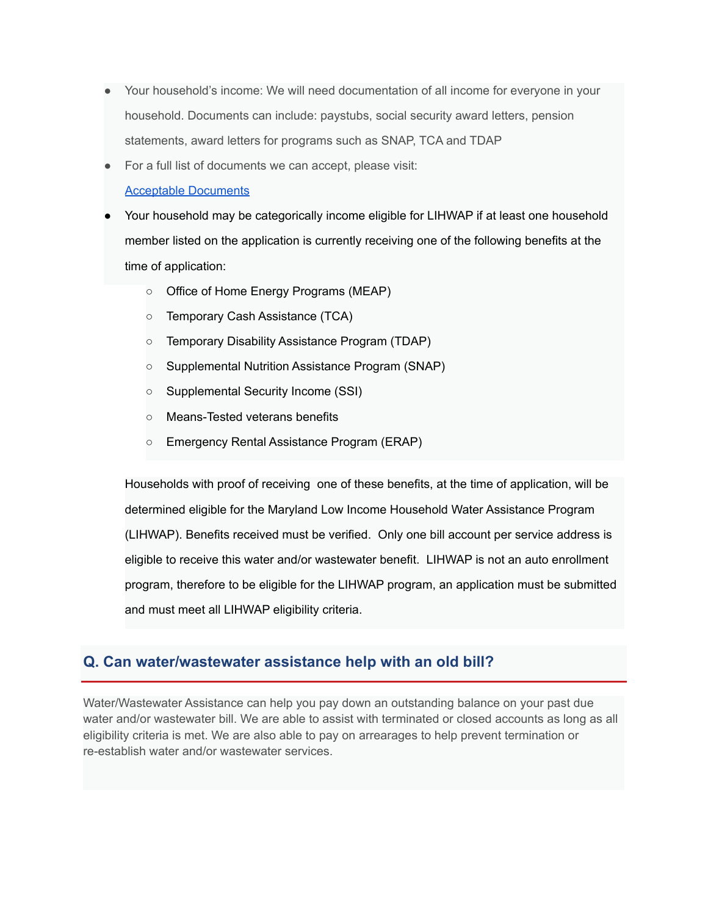- Your household's income: We will need documentation of all income for everyone in your household. Documents can include: paystubs, social security award letters, pension statements, award letters for programs such as SNAP, TCA and TDAP
- For a full list of documents we can accept, please visit:

[Acceptable Documents](https://dhs.maryland.gov/office-of-home-energy-programs/acceptable-documents-energy-assistance/)

- Your household may be categorically income eligible for LIHWAP if at least one household member listed on the application is currently receiving one of the following benefits at the time of application:
	- Office of Home Energy Programs (MEAP)
	- Temporary Cash Assistance (TCA)
	- Temporary Disability Assistance Program (TDAP)
	- Supplemental Nutrition Assistance Program (SNAP)
	- Supplemental Security Income (SSI)
	- Means-Tested veterans benefits
	- Emergency Rental Assistance Program (ERAP)

Households with proof of receiving one of these benefits, at the time of application, will be determined eligible for the Maryland Low Income Household Water Assistance Program (LIHWAP). Benefits received must be verified. Only one bill account per service address is eligible to receive this water and/or wastewater benefit. LIHWAP is not an auto enrollment program, therefore to be eligible for the LIHWAP program, an application must be submitted and must meet all LIHWAP eligibility criteria.

# **Q. Can water/wastewater assistance help with an old bill?**

Water/Wastewater Assistance can help you pay down an outstanding balance on your past due water and/or wastewater bill. We are able to assist with terminated or closed accounts as long as all eligibility criteria is met. We are also able to pay on arrearages to help prevent termination or re-establish water and/or wastewater services.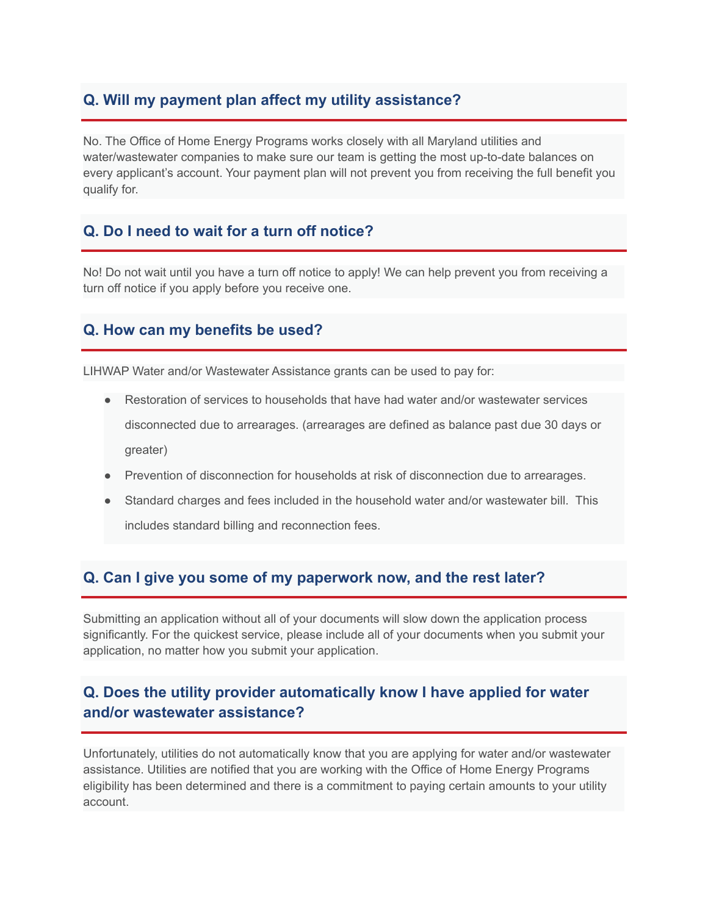# **Q. Will my payment plan affect my utility assistance?**

No. The Office of Home Energy Programs works closely with all Maryland utilities and water/wastewater companies to make sure our team is getting the most up-to-date balances on every applicant's account. Your payment plan will not prevent you from receiving the full benefit you qualify for.

## **Q. Do I need to wait for a turn off notice?**

No! Do not wait until you have a turn off notice to apply! We can help prevent you from receiving a turn off notice if you apply before you receive one.

## **Q. How can my benefits be used?**

LIHWAP Water and/or Wastewater Assistance grants can be used to pay for:

- Restoration of services to households that have had water and/or wastewater services disconnected due to arrearages. (arrearages are defined as balance past due 30 days or greater)
- Prevention of disconnection for households at risk of disconnection due to arrearages.
- Standard charges and fees included in the household water and/or wastewater bill. This includes standard billing and reconnection fees.

# **Q. Can I give you some of my paperwork now, and the rest later?**

Submitting an application without all of your documents will slow down the application process significantly. For the quickest service, please include all of your documents when you submit your application, no matter how you submit your application.

# **Q. Does the utility provider automatically know I have applied for water and/or wastewater assistance?**

Unfortunately, utilities do not automatically know that you are applying for water and/or wastewater assistance. Utilities are notified that you are working with the Office of Home Energy Programs eligibility has been determined and there is a commitment to paying certain amounts to your utility account.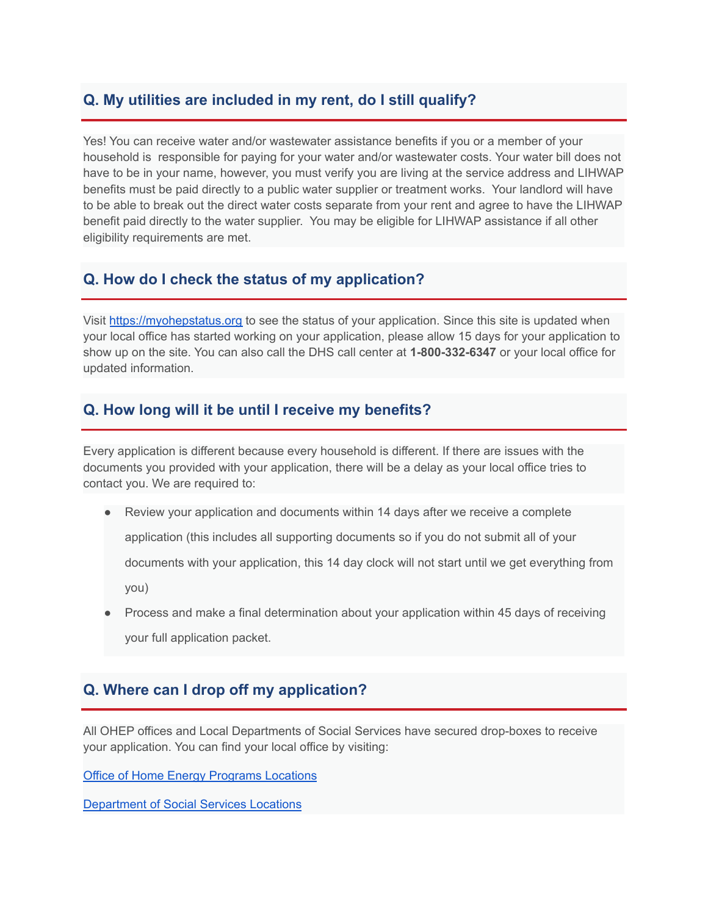## **Q. My utilities are included in my rent, do I still qualify?**

Yes! You can receive water and/or wastewater assistance benefits if you or a member of your household is responsible for paying for your water and/or wastewater costs. Your water bill does not have to be in your name, however, you must verify you are living at the service address and LIHWAP benefits must be paid directly to a public water supplier or treatment works. Your landlord will have to be able to break out the direct water costs separate from your rent and agree to have the LIHWAP benefit paid directly to the water supplier. You may be eligible for LIHWAP assistance if all other eligibility requirements are met.

# **Q. How do I check the status of my application?**

Visit [https://myohepstatus.org](https://myohepstatus.org./) to see the status of your application. Since this site is updated when your local office has started working on your application, please allow 15 days for your application to show up on the site. You can also call the DHS call center at **1-800-332-6347** or your local office for updated information.

### **Q. How long will it be until I receive my benefits?**

Every application is different because every household is different. If there are issues with the documents you provided with your application, there will be a delay as your local office tries to contact you. We are required to:

● Review your application and documents within 14 days after we receive a complete

application (this includes all supporting documents so if you do not submit all of your

documents with your application, this 14 day clock will not start until we get everything from

you)

Process and make a final determination about your application within 45 days of receiving your full application packet.

### **Q. Where can I drop off my application?**

All OHEP offices and Local Departments of Social Services have secured drop-boxes to receive your application. You can find your local office by visiting:

[Office of Home Energy Programs Locations](https://dhs.maryland.gov/office-of-home-energy-programs/local-home-energy-program-office/)

[Department of Social Services Locations](https://dhs.maryland.gov/local-offices/)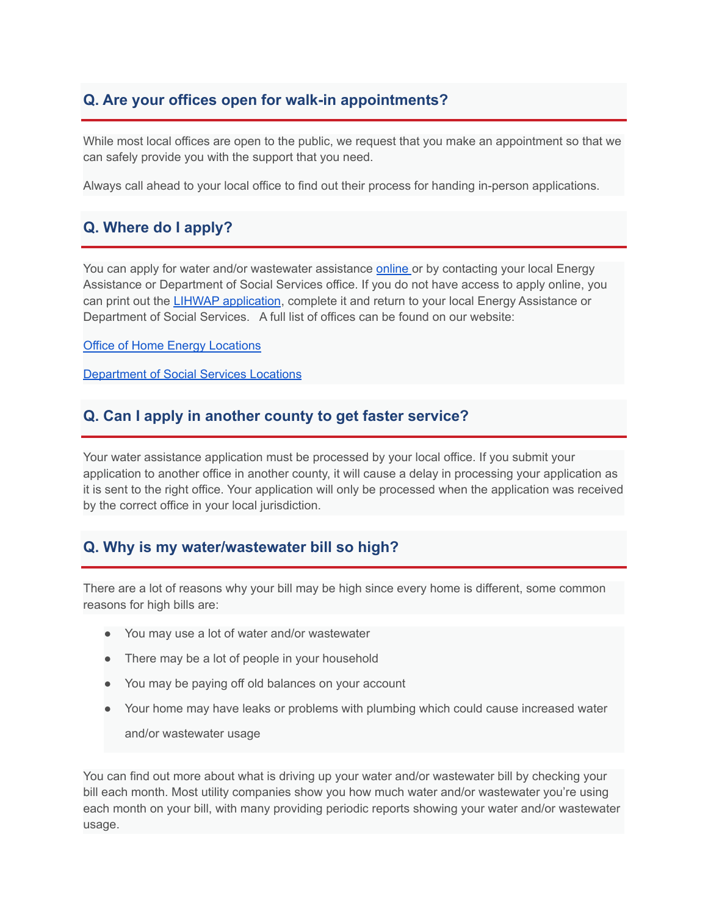# **Q. Are your offices open for walk-in appointments?**

While most local offices are open to the public, we request that you make an appointment so that we can safely provide you with the support that you need.

Always call ahead to your local office to find out their process for handing in-person applications.

# **Q. Where do I apply?**

You can apply for water and/or wastewater assistance [online](https://mydhrbenefits.dhr.state.md.us/dashboardClient/#/home) or by contacting your local Energy Assistance or Department of Social Services office. If you do not have access to apply online, you can print out the [LIHWAP application](https://drive.google.com/file/d/1j280MiZN8qsP2ThtPtDP3b_EifnCT1-L/view?usp=sharing), complete it and return to your local Energy Assistance or Department of Social Services. A full list of offices can be found on our website:

[Office of Home Energy Locations](https://dhs.maryland.gov/office-of-home-energy-programs/local-home-energy-program-office/)

[Department of Social Services Locations](https://dhs.maryland.gov/local-offices/)

### **Q. Can I apply in another county to get faster service?**

Your water assistance application must be processed by your local office. If you submit your application to another office in another county, it will cause a delay in processing your application as it is sent to the right office. Your application will only be processed when the application was received by the correct office in your local jurisdiction.

# **Q. Why is my water/wastewater bill so high?**

There are a lot of reasons why your bill may be high since every home is different, some common reasons for high bills are:

- You may use a lot of water and/or wastewater
- There may be a lot of people in your household
- You may be paying off old balances on your account
- Your home may have leaks or problems with plumbing which could cause increased water and/or wastewater usage

You can find out more about what is driving up your water and/or wastewater bill by checking your bill each month. Most utility companies show you how much water and/or wastewater you're using each month on your bill, with many providing periodic reports showing your water and/or wastewater usage.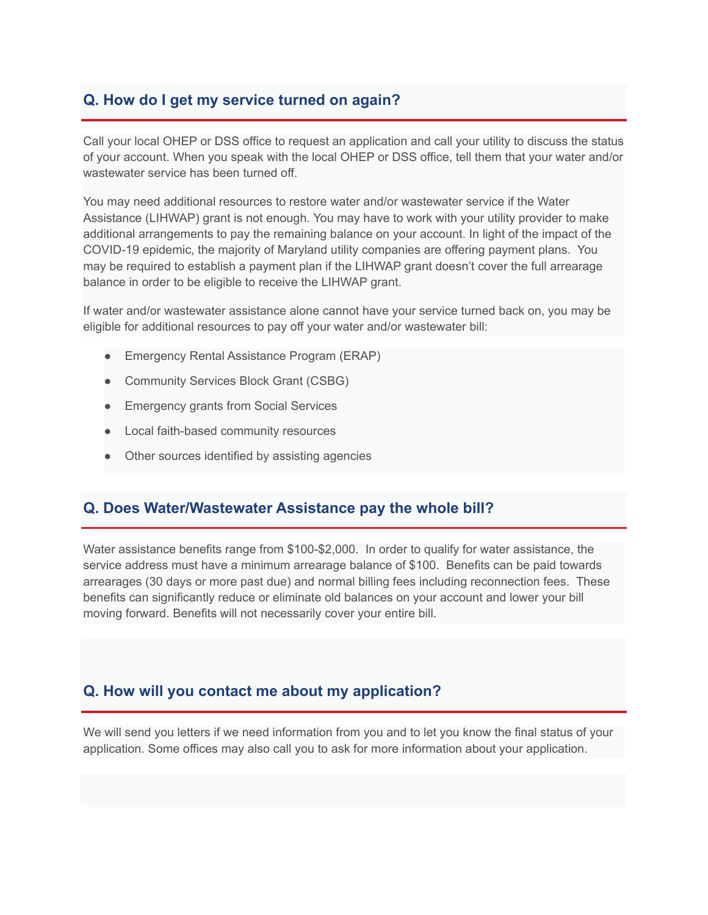# **Q. How do I get my service turned on again?**

Call your local OHEP or DSS office to request an application and call your utility to discuss the status of your account. When you speak with the local OHEP or DSS office, tell them that your water and/or wastewater service has been turned off.

You may need additional resources to restore water and/or wastewater service if the Water Assistance (LIHWAP) grant is not enough. You may have to work with your utility provider to make additional arrangements to pay the remaining balance on your account. In light of the impact of the COVID-19 epidemic, the majority of Maryland utility companies are offering payment plans. You may be required to establish a payment plan if the LIHWAP grant doesn't cover the full arrearage balance in order to be eligible to receive the LIHWAP grant.

If water and/or wastewater assistance alone cannot have your service turned back on, you may be eligible for additional resources to pay off your water and/or wastewater bill:

- Emergency Rental Assistance Program (ERAP)
- Community Services Block Grant (CSBG)
- Emergency grants from Social Services
- Local faith-based community resources
- Other sources identified by assisting agencies

### **Q. Does Water/Wastewater Assistance pay the whole bill?**

Water assistance benefits range from \$100-\$2,000. In order to qualify for water assistance, the service address must have a minimum arrearage balance of \$100. Benefits can be paid towards arrearages (30 days or more past due) and normal billing fees including reconnection fees. These benefits can significantly reduce or eliminate old balances on your account and lower your bill moving forward. Benefits will not necessarily cover your entire bill.

# **Q. How will you contact me about my application?**

We will send you letters if we need information from you and to let you know the final status of your application. Some offices may also call you to ask for more information about your application.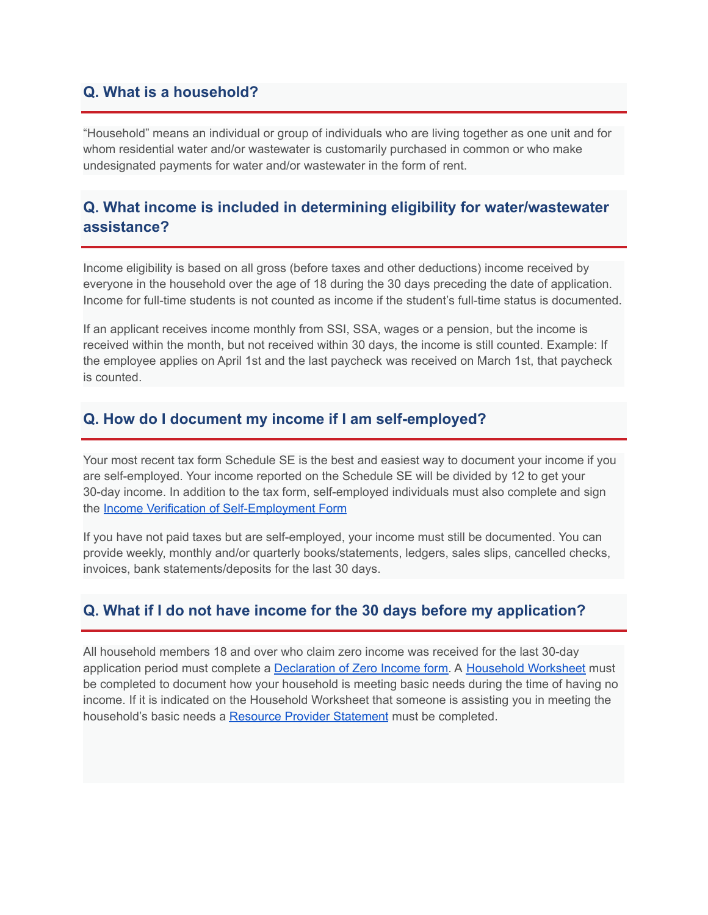## **Q. What is a household?**

"Household" means an individual or group of individuals who are living together as one unit and for whom residential water and/or wastewater is customarily purchased in common or who make undesignated payments for water and/or wastewater in the form of rent.

## **Q. What income is included in determining eligibility for water/wastewater assistance?**

Income eligibility is based on all gross (before taxes and other deductions) income received by everyone in the household over the age of 18 during the 30 days preceding the date of application. Income for full-time students is not counted as income if the student's full-time status is documented.

If an applicant receives income monthly from SSI, SSA, wages or a pension, but the income is received within the month, but not received within 30 days, the income is still counted. Example: If the employee applies on April 1st and the last paycheck was received on March 1st, that paycheck is counted.

#### **Q. How do I document my income if I am self-employed?**

Your most recent tax form Schedule SE is the best and easiest way to document your income if you are self-employed. Your income reported on the Schedule SE will be divided by 12 to get your 30-day income. In addition to the tax form, self-employed individuals must also complete and sign the [Income Verification of Self-Employment Form](https://dhs.maryland.gov/documents/DHR%20Forms/FIA%20Forms/English/OHEP/Income%20Verification%20of%20Self-Employment.pdf)

If you have not paid taxes but are self-employed, your income must still be documented. You can provide weekly, monthly and/or quarterly books/statements, ledgers, sales slips, cancelled checks, invoices, bank statements/deposits for the last 30 days.

#### **Q. What if I do not have income for the 30 days before my application?**

All household members 18 and over who claim zero income was received for the last 30-day application period must complete a Declaration of [Zero Income form.](https://dhs.maryland.gov/documents/DHR%20Forms/FIA%20Forms/English/OHEP/Declaration%20of%20Zero%20Income%20Form.pdf) A [Household Worksheet](https://dhs.maryland.gov/documents/DHR%20Forms/FIA%20Forms/English/OHEP/Household%20Worksheet.pdf) must be completed to document how your household is meeting basic needs during the time of having no income. If it is indicated on the Household Worksheet that someone is assisting you in meeting the household's basic needs a [Resource Provider Statement](https://dhs.maryland.gov/documents/DHR%20Forms/FIA%20Forms/English/OHEP/Resource%20Provider%20Statement.pdf) must be completed.